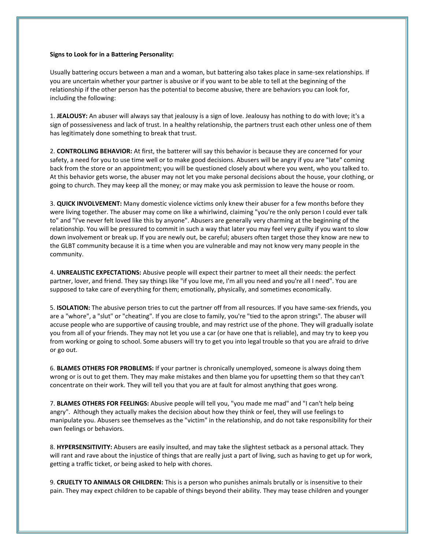## **Signs to Look for in a Battering Personality:**

Usually battering occurs between a man and a woman, but battering also takes place in same-sex relationships. If you are uncertain whether your partner is abusive or if you want to be able to tell at the beginning of the relationship if the other person has the potential to become abusive, there are behaviors you can look for, including the following:

1. **JEALOUSY:** An abuser will always say that jealousy is a sign of love. Jealousy has nothing to do with love; it's a sign of possessiveness and lack of trust. In a healthy relationship, the partners trust each other unless one of them has legitimately done something to break that trust.

2. **CONTROLLING BEHAVIOR:** At first, the batterer will say this behavior is because they are concerned for your safety, a need for you to use time well or to make good decisions. Abusers will be angry if you are "late" coming back from the store or an appointment; you will be questioned closely about where you went, who you talked to. At this behavior gets worse, the abuser may not let you make personal decisions about the house, your clothing, or going to church. They may keep all the money; or may make you ask permission to leave the house or room.

3. **QUICK INVOLVEMENT:** Many domestic violence victims only knew their abuser for a few months before they were living together. The abuser may come on like a whirlwind, claiming "you're the only person I could ever talk to" and "I've never felt loved like this by anyone". Abusers are generally very charming at the beginning of the relationship. You will be pressured to commit in such a way that later you may feel very guilty if you want to slow down involvement or break up. If you are newly out, be careful; abusers often target those they know are new to the GLBT community because it is a time when you are vulnerable and may not know very many people in the community.

4. **UNREALISTIC EXPECTATIONS:** Abusive people will expect their partner to meet all their needs: the perfect partner, lover, and friend. They say things like "if you love me, I'm all you need and you're all I need". You are supposed to take care of everything for them; emotionally, physically, and sometimes economically.

5. **ISOLATION:** The abusive person tries to cut the partner off from all resources. If you have same-sex friends, you are a "whore", a "slut" or "cheating". If you are close to family, you're "tied to the apron strings". The abuser will accuse people who are supportive of causing trouble, and may restrict use of the phone. They will gradually isolate you from all of your friends. They may not let you use a car (or have one that is reliable), and may try to keep you from working or going to school. Some abusers will try to get you into legal trouble so that you are afraid to drive or go out.

6. **BLAMES OTHERS FOR PROBLEMS:** If your partner is chronically unemployed, someone is always doing them wrong or is out to get them. They may make mistakes and then blame you for upsetting them so that they can't concentrate on their work. They will tell you that you are at fault for almost anything that goes wrong.

7. **BLAMES OTHERS FOR FEELINGS:** Abusive people will tell you, "you made me mad" and "I can't help being angry". Although they actually makes the decision about how they think or feel, they will use feelings to manipulate you. Abusers see themselves as the "victim" in the relationship, and do not take responsibility for their own feelings or behaviors.

8. **HYPERSENSITIVITY:** Abusers are easily insulted, and may take the slightest setback as a personal attack. They will rant and rave about the injustice of things that are really just a part of living, such as having to get up for work, getting a traffic ticket, or being asked to help with chores.

9. **CRUELTY TO ANIMALS OR CHILDREN:** This is a person who punishes animals brutally or is insensitive to their pain. They may expect children to be capable of things beyond their ability. They may tease children and younger